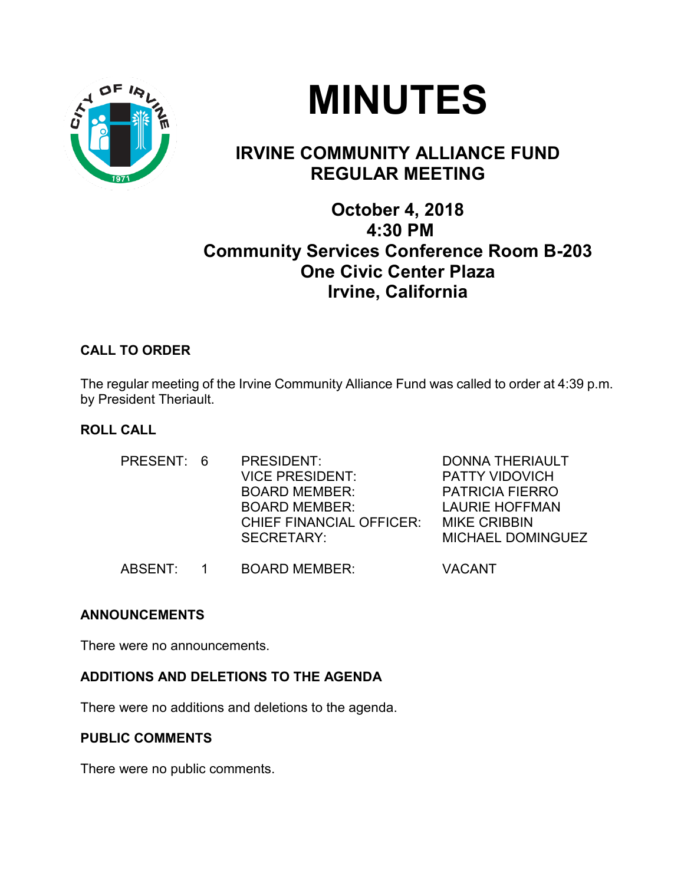



## **IRVINE COMMUNITY ALLIANCE FUND REGULAR MEETING**

### **October 4, 2018 4:30 PM Community Services Conference Room B-203 One Civic Center Plaza Irvine, California**

#### **CALL TO ORDER**

The regular meeting of the Irvine Community Alliance Fund was called to order at 4:39 p.m. by President Theriault.

#### **ROLL CALL**

| PRESENT: 6 | PRESIDENT:<br><b>VICE PRESIDENT:</b><br><b>BOARD MEMBER:</b><br><b>BOARD MEMBER:</b><br><b>CHIEF FINANCIAL OFFICER:</b><br><b>SECRETARY:</b> | <b>DONNA THERIAULT</b><br><b>PATTY VIDOVICH</b><br><b>PATRICIA FIERRO</b><br><b>LAURIE HOFFMAN</b><br><b>MIKE CRIBBIN</b><br><b>MICHAEL DOMINGUEZ</b> |
|------------|----------------------------------------------------------------------------------------------------------------------------------------------|-------------------------------------------------------------------------------------------------------------------------------------------------------|
| ABSENT:    | <b>BOARD MEMBER:</b>                                                                                                                         | <b>VACANT</b>                                                                                                                                         |

#### **ANNOUNCEMENTS**

There were no announcements.

#### **ADDITIONS AND DELETIONS TO THE AGENDA**

There were no additions and deletions to the agenda.

#### **PUBLIC COMMENTS**

There were no public comments.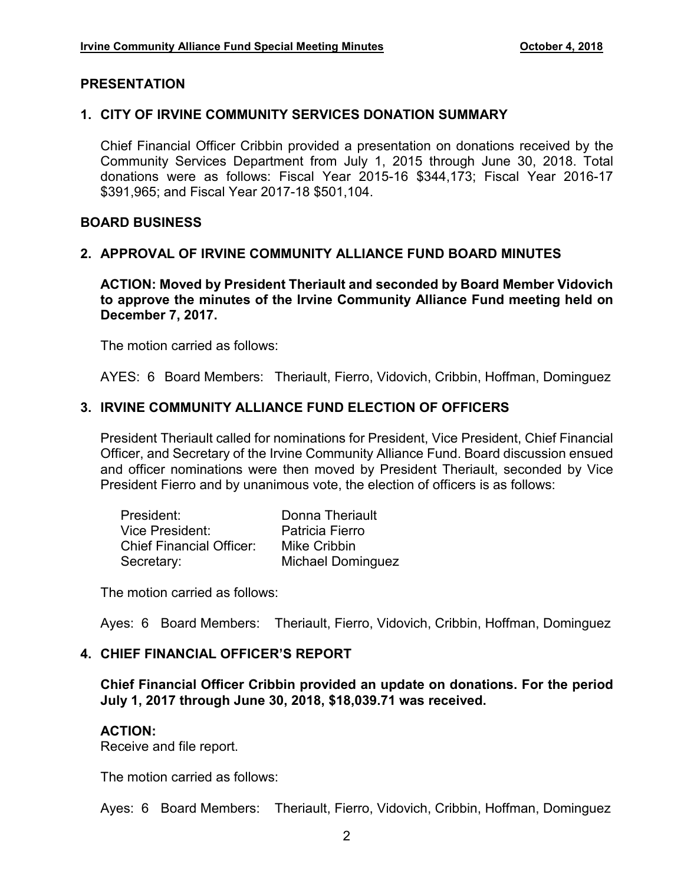#### **PRESENTATION**

#### **1. CITY OF IRVINE COMMUNITY SERVICES DONATION SUMMARY**

Chief Financial Officer Cribbin provided a presentation on donations received by the Community Services Department from July 1, 2015 through June 30, 2018. Total donations were as follows: Fiscal Year 2015-16 \$344,173; Fiscal Year 2016-17 \$391,965; and Fiscal Year 2017-18 \$501,104.

#### **BOARD BUSINESS**

#### **2. APPROVAL OF IRVINE COMMUNITY ALLIANCE FUND BOARD MINUTES**

**ACTION: Moved by President Theriault and seconded by Board Member Vidovich to approve the minutes of the Irvine Community Alliance Fund meeting held on December 7, 2017.**

The motion carried as follows:

AYES: 6 Board Members: Theriault, Fierro, Vidovich, Cribbin, Hoffman, Dominguez

#### **3. IRVINE COMMUNITY ALLIANCE FUND ELECTION OF OFFICERS**

President Theriault called for nominations for President, Vice President, Chief Financial Officer, and Secretary of the Irvine Community Alliance Fund. Board discussion ensued and officer nominations were then moved by President Theriault, seconded by Vice President Fierro and by unanimous vote, the election of officers is as follows:

| President:                      | Donna Theriault          |
|---------------------------------|--------------------------|
| Vice President:                 | Patricia Fierro          |
| <b>Chief Financial Officer:</b> | Mike Cribbin             |
| Secretary:                      | <b>Michael Dominguez</b> |

The motion carried as follows:

Ayes: 6 Board Members: Theriault, Fierro, Vidovich, Cribbin, Hoffman, Dominguez

#### **4. CHIEF FINANCIAL OFFICER'S REPORT**

**Chief Financial Officer Cribbin provided an update on donations. For the period July 1, 2017 through June 30, 2018, \$18,039.71 was received.**

#### **ACTION:**

Receive and file report.

The motion carried as follows:

Ayes: 6 Board Members: Theriault, Fierro, Vidovich, Cribbin, Hoffman, Dominguez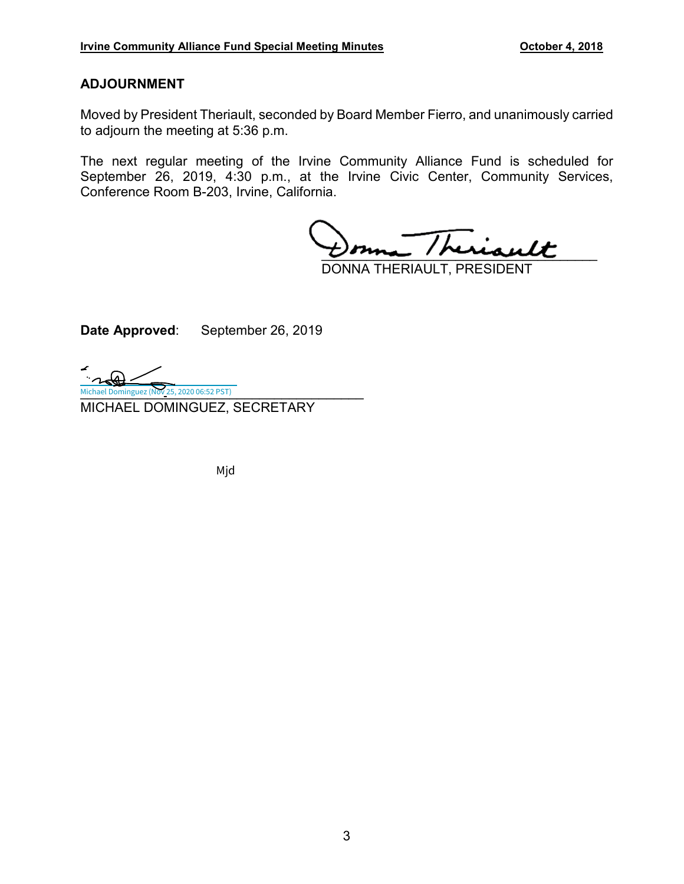#### **ADJOURNMENT**

Moved by President Theriault, seconded by Board Member Fierro, and unanimously carried to adjourn the meeting at 5:36 p.m.

The next regular meeting of the Irvine Community Alliance Fund is scheduled for September 26, 2019, 4:30 p.m., at the Irvine Civic Center, Community Services, Conference Room B-203, Irvine, California.

 $\overline{I}$ /heriault

DONNA THERIAULT, PRESIDENT

**Date Approved**: September 26, 2019

Michael Dominguez (Nov 25, 2020 06:52 PST) MICHAEL DOMINGUEZ, SECRETARY

Mjd